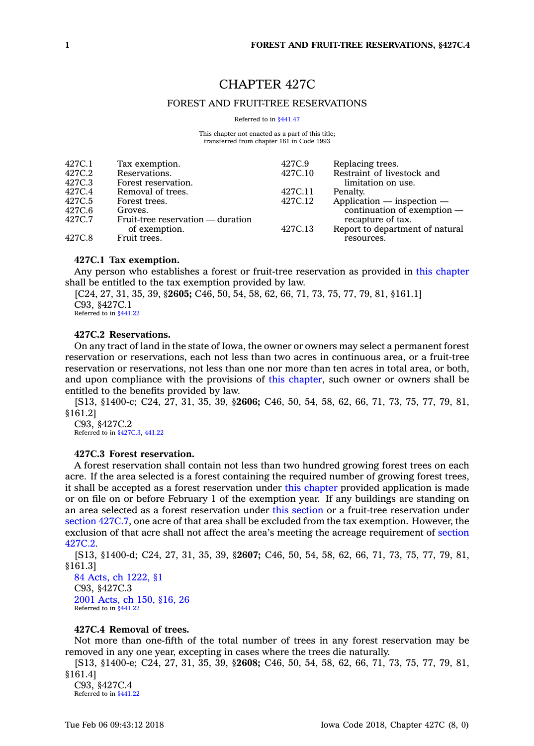# CHAPTER 427C

## FOREST AND FRUIT-TREE RESERVATIONS

Referred to in [§441.47](https://www.legis.iowa.gov/docs/code/441.47.pdf)

This chapter not enacted as <sup>a</sup> part of this title; transferred from chapter 161 in Code 1993

| 427C.1 | Tax exemption.                    | 427C.9  | Replacing trees.                |
|--------|-----------------------------------|---------|---------------------------------|
| 427C.2 | Reservations.                     | 427C.10 | Restraint of livestock and      |
| 427C.3 | Forest reservation.               |         | limitation on use.              |
| 427C.4 | Removal of trees.                 | 427C.11 | Penalty.                        |
| 427C.5 | Forest trees.                     | 427C.12 | $Application$ - inspection -    |
| 427C.6 | Groves.                           |         | continuation of exemption $-$   |
| 427C.7 | Fruit-tree reservation — duration |         | recapture of tax.               |
|        | of exemption.                     | 427C.13 | Report to department of natural |
| 427C.8 | Fruit trees.                      |         | resources.                      |
|        |                                   |         |                                 |

## **427C.1 Tax exemption.**

Any person who establishes <sup>a</sup> forest or fruit-tree reservation as provided in this [chapter](https://www.legis.iowa.gov/docs/code//427C.pdf) shall be entitled to the tax exemption provided by law.

[C24, 27, 31, 35, 39, §**2605;** C46, 50, 54, 58, 62, 66, 71, 73, 75, 77, 79, 81, §161.1] C93, §427C.1 Referred to in [§441.22](https://www.legis.iowa.gov/docs/code/441.22.pdf)

### **427C.2 Reservations.**

On any tract of land in the state of Iowa, the owner or owners may select <sup>a</sup> permanent forest reservation or reservations, each not less than two acres in continuous area, or <sup>a</sup> fruit-tree reservation or reservations, not less than one nor more than ten acres in total area, or both, and upon compliance with the provisions of this [chapter](https://www.legis.iowa.gov/docs/code//427C.pdf), such owner or owners shall be entitled to the benefits provided by law.

[S13, §1400-c; C24, 27, 31, 35, 39, §**2606;** C46, 50, 54, 58, 62, 66, 71, 73, 75, 77, 79, 81, §161.2]

C93, §427C.2 Referred to in [§427C.3](https://www.legis.iowa.gov/docs/code/427C.3.pdf), [441.22](https://www.legis.iowa.gov/docs/code/441.22.pdf)

## **427C.3 Forest reservation.**

A forest reservation shall contain not less than two hundred growing forest trees on each acre. If the area selected is <sup>a</sup> forest containing the required number of growing forest trees, it shall be accepted as <sup>a</sup> forest reservation under this [chapter](https://www.legis.iowa.gov/docs/code//427C.pdf) provided application is made or on file on or before February 1 of the exemption year. If any buildings are standing on an area selected as <sup>a</sup> forest reservation under this [section](https://www.legis.iowa.gov/docs/code/427C.3.pdf) or <sup>a</sup> fruit-tree reservation under section [427C.7](https://www.legis.iowa.gov/docs/code/427C.7.pdf), one acre of that area shall be excluded from the tax exemption. However, the exclusion of that acre shall not affect the area's meeting the acreage requirement of [section](https://www.legis.iowa.gov/docs/code/427C.2.pdf) [427C.2](https://www.legis.iowa.gov/docs/code/427C.2.pdf).

[S13, §1400-d; C24, 27, 31, 35, 39, §**2607;** C46, 50, 54, 58, 62, 66, 71, 73, 75, 77, 79, 81, §161.3]

84 Acts, ch [1222,](https://www.legis.iowa.gov/docs/acts/1984/CH1222.pdf) §1 C93, §427C.3 2001 [Acts,](https://www.legis.iowa.gov/docs/acts/2001/CH0150.pdf) ch 150, §16, 26 Referred to in [§441.22](https://www.legis.iowa.gov/docs/code/441.22.pdf)

### **427C.4 Removal of trees.**

Not more than one-fifth of the total number of trees in any forest reservation may be removed in any one year, excepting in cases where the trees die naturally.

[S13, §1400-e; C24, 27, 31, 35, 39, §**2608;** C46, 50, 54, 58, 62, 66, 71, 73, 75, 77, 79, 81, §161.4]

C93, §427C.4 Referred to in [§441.22](https://www.legis.iowa.gov/docs/code/441.22.pdf)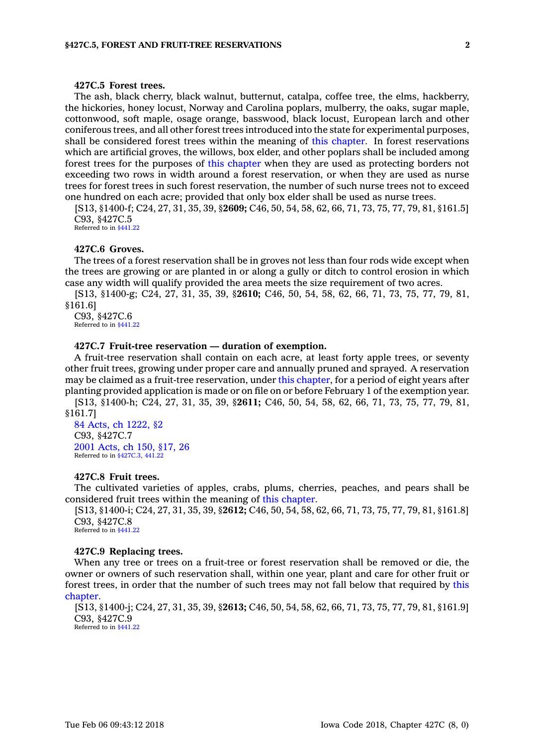## **427C.5 Forest trees.**

The ash, black cherry, black walnut, butternut, catalpa, coffee tree, the elms, hackberry, the hickories, honey locust, Norway and Carolina poplars, mulberry, the oaks, sugar maple, cottonwood, soft maple, osage orange, basswood, black locust, European larch and other coniferous trees, and all other forest trees introduced into the state for experimental purposes, shall be considered forest trees within the meaning of this [chapter](https://www.legis.iowa.gov/docs/code//427C.pdf). In forest reservations which are artificial groves, the willows, box elder, and other poplars shall be included among forest trees for the purposes of this [chapter](https://www.legis.iowa.gov/docs/code//427C.pdf) when they are used as protecting borders not exceeding two rows in width around <sup>a</sup> forest reservation, or when they are used as nurse trees for forest trees in such forest reservation, the number of such nurse trees not to exceed one hundred on each acre; provided that only box elder shall be used as nurse trees.

[S13, §1400-f; C24, 27, 31, 35, 39, §**2609;** C46, 50, 54, 58, 62, 66, 71, 73, 75, 77, 79, 81, §161.5] C93, §427C.5 Referred to in [§441.22](https://www.legis.iowa.gov/docs/code/441.22.pdf)

### **427C.6 Groves.**

The trees of <sup>a</sup> forest reservation shall be in groves not less than four rods wide except when the trees are growing or are planted in or along <sup>a</sup> gully or ditch to control erosion in which case any width will qualify provided the area meets the size requirement of two acres.

[S13, §1400-g; C24, 27, 31, 35, 39, §**2610;** C46, 50, 54, 58, 62, 66, 71, 73, 75, 77, 79, 81, §161.6]

C93, §427C.6 Referred to in [§441.22](https://www.legis.iowa.gov/docs/code/441.22.pdf)

## **427C.7 Fruit-tree reservation — duration of exemption.**

A fruit-tree reservation shall contain on each acre, at least forty apple trees, or seventy other fruit trees, growing under proper care and annually pruned and sprayed. A reservation may be claimed as <sup>a</sup> fruit-tree reservation, under this [chapter](https://www.legis.iowa.gov/docs/code//427C.pdf), for <sup>a</sup> period of eight years after planting provided application is made or on file on or before February 1 of the exemption year.

[S13, §1400-h; C24, 27, 31, 35, 39, §**2611;** C46, 50, 54, 58, 62, 66, 71, 73, 75, 77, 79, 81, §161.7]

84 Acts, ch [1222,](https://www.legis.iowa.gov/docs/acts/1984/CH1222.pdf) §2 C93, §427C.7 2001 [Acts,](https://www.legis.iowa.gov/docs/acts/2001/CH0150.pdf) ch 150, §17, 26 Referred to in [§427C.3](https://www.legis.iowa.gov/docs/code/427C.3.pdf), [441.22](https://www.legis.iowa.gov/docs/code/441.22.pdf)

### **427C.8 Fruit trees.**

The cultivated varieties of apples, crabs, plums, cherries, peaches, and pears shall be considered fruit trees within the meaning of this [chapter](https://www.legis.iowa.gov/docs/code//427C.pdf).

[S13, §1400-i; C24, 27, 31, 35, 39, §**2612;** C46, 50, 54, 58, 62, 66, 71, 73, 75, 77, 79, 81, §161.8] C93, §427C.8 Referred to in [§441.22](https://www.legis.iowa.gov/docs/code/441.22.pdf)

#### **427C.9 Replacing trees.**

When any tree or trees on <sup>a</sup> fruit-tree or forest reservation shall be removed or die, the owner or owners of such reservation shall, within one year, plant and care for other fruit or forest trees, in order that the number of such trees may not fall below that required by [this](https://www.legis.iowa.gov/docs/code//427C.pdf) [chapter](https://www.legis.iowa.gov/docs/code//427C.pdf).

[S13, §1400-j; C24, 27, 31, 35, 39, §**2613;** C46, 50, 54, 58, 62, 66, 71, 73, 75, 77, 79, 81, §161.9] C93, §427C.9

Referred to in [§441.22](https://www.legis.iowa.gov/docs/code/441.22.pdf)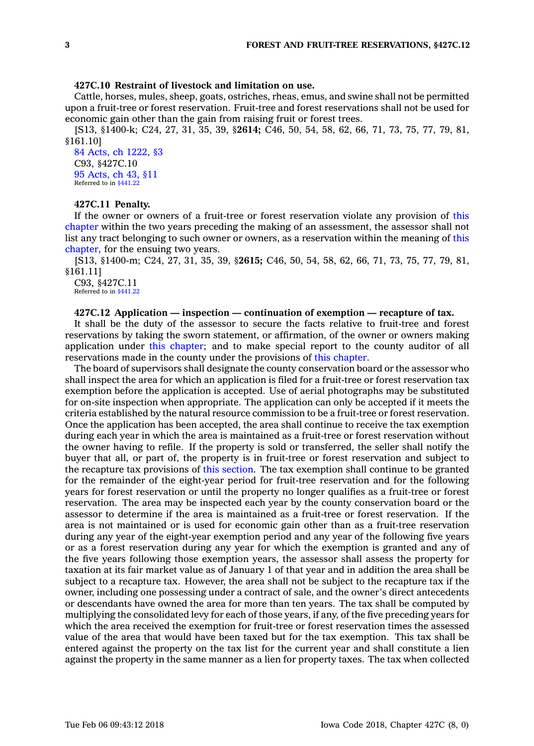## **427C.10 Restraint of livestock and limitation on use.**

Cattle, horses, mules, sheep, goats, ostriches, rheas, emus, and swine shall not be permitted upon <sup>a</sup> fruit-tree or forest reservation. Fruit-tree and forest reservations shall not be used for economic gain other than the gain from raising fruit or forest trees.

[S13, §1400-k; C24, 27, 31, 35, 39, §**2614;** C46, 50, 54, 58, 62, 66, 71, 73, 75, 77, 79, 81, §161.10]

84 Acts, ch [1222,](https://www.legis.iowa.gov/docs/acts/1984/CH1222.pdf) §3 C93, §427C.10 95 [Acts,](https://www.legis.iowa.gov/docs/acts/1995/CH0043.pdf) ch 43, §11 Referred to in [§441.22](https://www.legis.iowa.gov/docs/code/441.22.pdf)

## **427C.11 Penalty.**

If the owner or owners of <sup>a</sup> fruit-tree or forest reservation violate any provision of [this](https://www.legis.iowa.gov/docs/code//427C.pdf) [chapter](https://www.legis.iowa.gov/docs/code//427C.pdf) within the two years preceding the making of an assessment, the assessor shall not list any tract belonging to such owner or owners, as <sup>a</sup> reservation within the meaning of [this](https://www.legis.iowa.gov/docs/code//427C.pdf) [chapter](https://www.legis.iowa.gov/docs/code//427C.pdf), for the ensuing two years.

[S13, §1400-m; C24, 27, 31, 35, 39, §**2615;** C46, 50, 54, 58, 62, 66, 71, 73, 75, 77, 79, 81, §161.11]

C93, §427C.11 Referred to in [§441.22](https://www.legis.iowa.gov/docs/code/441.22.pdf)

#### **427C.12 Application — inspection — continuation of exemption — recapture of tax.**

It shall be the duty of the assessor to secure the facts relative to fruit-tree and forest reservations by taking the sworn statement, or affirmation, of the owner or owners making application under this [chapter](https://www.legis.iowa.gov/docs/code//427C.pdf); and to make special report to the county auditor of all reservations made in the county under the provisions of this [chapter](https://www.legis.iowa.gov/docs/code//427C.pdf).

The board of supervisors shall designate the county conservation board or the assessor who shall inspect the area for which an application is filed for <sup>a</sup> fruit-tree or forest reservation tax exemption before the application is accepted. Use of aerial photographs may be substituted for on-site inspection when appropriate. The application can only be accepted if it meets the criteria established by the natural resource commission to be <sup>a</sup> fruit-tree or forest reservation. Once the application has been accepted, the area shall continue to receive the tax exemption during each year in which the area is maintained as <sup>a</sup> fruit-tree or forest reservation without the owner having to refile. If the property is sold or transferred, the seller shall notify the buyer that all, or part of, the property is in fruit-tree or forest reservation and subject to the recapture tax provisions of this [section](https://www.legis.iowa.gov/docs/code/427C.12.pdf). The tax exemption shall continue to be granted for the remainder of the eight-year period for fruit-tree reservation and for the following years for forest reservation or until the property no longer qualifies as <sup>a</sup> fruit-tree or forest reservation. The area may be inspected each year by the county conservation board or the assessor to determine if the area is maintained as <sup>a</sup> fruit-tree or forest reservation. If the area is not maintained or is used for economic gain other than as <sup>a</sup> fruit-tree reservation during any year of the eight-year exemption period and any year of the following five years or as <sup>a</sup> forest reservation during any year for which the exemption is granted and any of the five years following those exemption years, the assessor shall assess the property for taxation at its fair market value as of January 1 of that year and in addition the area shall be subject to <sup>a</sup> recapture tax. However, the area shall not be subject to the recapture tax if the owner, including one possessing under <sup>a</sup> contract of sale, and the owner's direct antecedents or descendants have owned the area for more than ten years. The tax shall be computed by multiplying the consolidated levy for each of those years, if any, of the five preceding years for which the area received the exemption for fruit-tree or forest reservation times the assessed value of the area that would have been taxed but for the tax exemption. This tax shall be entered against the property on the tax list for the current year and shall constitute <sup>a</sup> lien against the property in the same manner as <sup>a</sup> lien for property taxes. The tax when collected